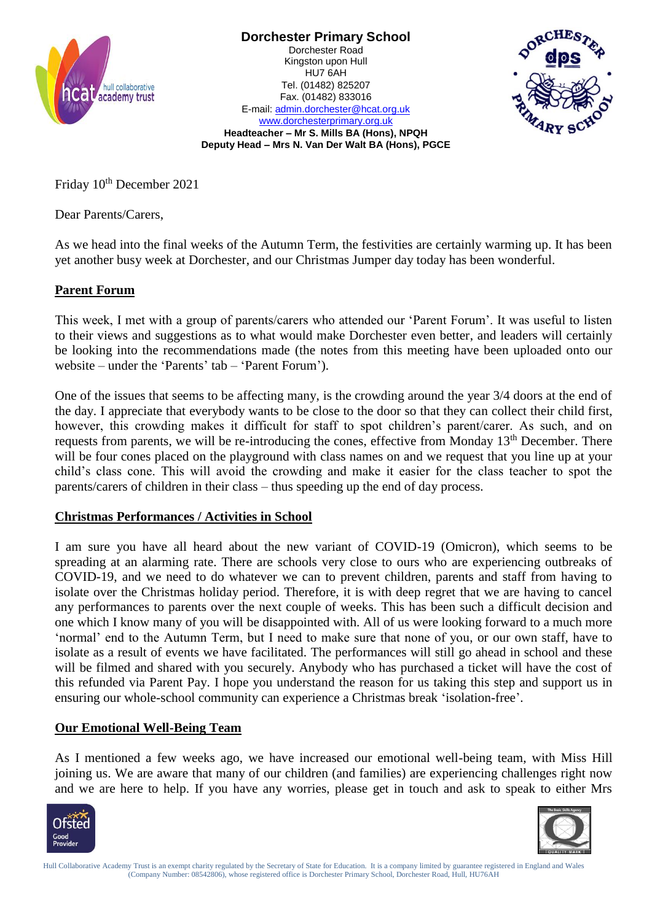





[www.dorchesterprimary.org.uk](http://www.dorchester.hull.sch.uk/) **Headteacher – Mr S. Mills BA (Hons), NPQH Deputy Head – Mrs N. Van Der Walt BA (Hons), PGCE**

Friday  $10^{th}$  December 2021

Dear Parents/Carers,

As we head into the final weeks of the Autumn Term, the festivities are certainly warming up. It has been yet another busy week at Dorchester, and our Christmas Jumper day today has been wonderful.

## **Parent Forum**

This week, I met with a group of parents/carers who attended our 'Parent Forum'. It was useful to listen to their views and suggestions as to what would make Dorchester even better, and leaders will certainly be looking into the recommendations made (the notes from this meeting have been uploaded onto our website – under the 'Parents' tab – 'Parent Forum').

One of the issues that seems to be affecting many, is the crowding around the year 3/4 doors at the end of the day. I appreciate that everybody wants to be close to the door so that they can collect their child first, however, this crowding makes it difficult for staff to spot children's parent/carer. As such, and on requests from parents, we will be re-introducing the cones, effective from Monday 13<sup>th</sup> December. There will be four cones placed on the playground with class names on and we request that you line up at your child's class cone. This will avoid the crowding and make it easier for the class teacher to spot the parents/carers of children in their class – thus speeding up the end of day process.

## **Christmas Performances / Activities in School**

I am sure you have all heard about the new variant of COVID-19 (Omicron), which seems to be spreading at an alarming rate. There are schools very close to ours who are experiencing outbreaks of COVID-19, and we need to do whatever we can to prevent children, parents and staff from having to isolate over the Christmas holiday period. Therefore, it is with deep regret that we are having to cancel any performances to parents over the next couple of weeks. This has been such a difficult decision and one which I know many of you will be disappointed with. All of us were looking forward to a much more 'normal' end to the Autumn Term, but I need to make sure that none of you, or our own staff, have to isolate as a result of events we have facilitated. The performances will still go ahead in school and these will be filmed and shared with you securely. Anybody who has purchased a ticket will have the cost of this refunded via Parent Pay. I hope you understand the reason for us taking this step and support us in ensuring our whole-school community can experience a Christmas break 'isolation-free'.

## **Our Emotional Well-Being Team**

As I mentioned a few weeks ago, we have increased our emotional well-being team, with Miss Hill joining us. We are aware that many of our children (and families) are experiencing challenges right now and we are here to help. If you have any worries, please get in touch and ask to speak to either Mrs





Hull Collaborative Academy Trust is an exempt charity regulated by the Secretary of State for Education. It is a company limited by guarantee registered in England and Wales (Company Number: 08542806), whose registered office is Dorchester Primary School, Dorchester Road, Hull, HU76AH